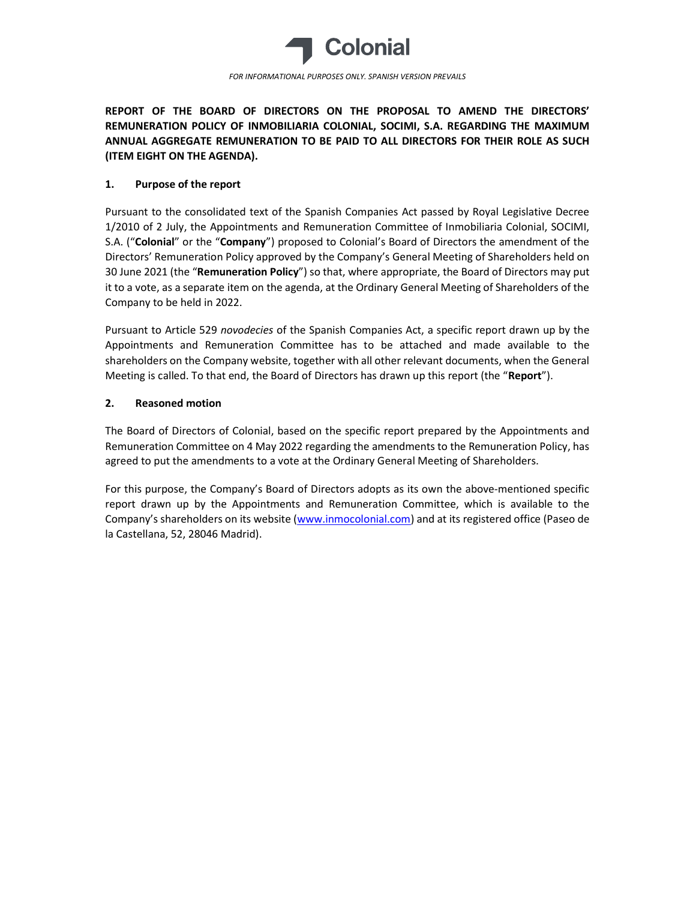

FOR INFORMATIONAL PURPOSES ONLY. SPANISH VERSION PREVAILS

REPORT OF THE BOARD OF DIRECTORS ON THE PROPOSAL TO AMEND THE DIRECTORS' REMUNERATION POLICY OF INMOBILIARIA COLONIAL, SOCIMI, S.A. REGARDING THE MAXIMUM ANNUAL AGGREGATE REMUNERATION TO BE PAID TO ALL DIRECTORS FOR THEIR ROLE AS SUCH (ITEM EIGHT ON THE AGENDA).

## 1. Purpose of the report

Pursuant to the consolidated text of the Spanish Companies Act passed by Royal Legislative Decree 1/2010 of 2 July, the Appointments and Remuneration Committee of Inmobiliaria Colonial, SOCIMI, S.A. ("Colonial" or the "Company") proposed to Colonial's Board of Directors the amendment of the Directors' Remuneration Policy approved by the Company's General Meeting of Shareholders held on 30 June 2021 (the "Remuneration Policy") so that, where appropriate, the Board of Directors may put it to a vote, as a separate item on the agenda, at the Ordinary General Meeting of Shareholders of the Company to be held in 2022.

Pursuant to Article 529 novodecies of the Spanish Companies Act, a specific report drawn up by the Appointments and Remuneration Committee has to be attached and made available to the shareholders on the Company website, together with all other relevant documents, when the General Meeting is called. To that end, the Board of Directors has drawn up this report (the "Report").

## 2. Reasoned motion

The Board of Directors of Colonial, based on the specific report prepared by the Appointments and Remuneration Committee on 4 May 2022 regarding the amendments to the Remuneration Policy, has agreed to put the amendments to a vote at the Ordinary General Meeting of Shareholders.

For this purpose, the Company's Board of Directors adopts as its own the above-mentioned specific report drawn up by the Appointments and Remuneration Committee, which is available to the Company's shareholders on its website (www.inmocolonial.com) and at its registered office (Paseo de la Castellana, 52, 28046 Madrid).